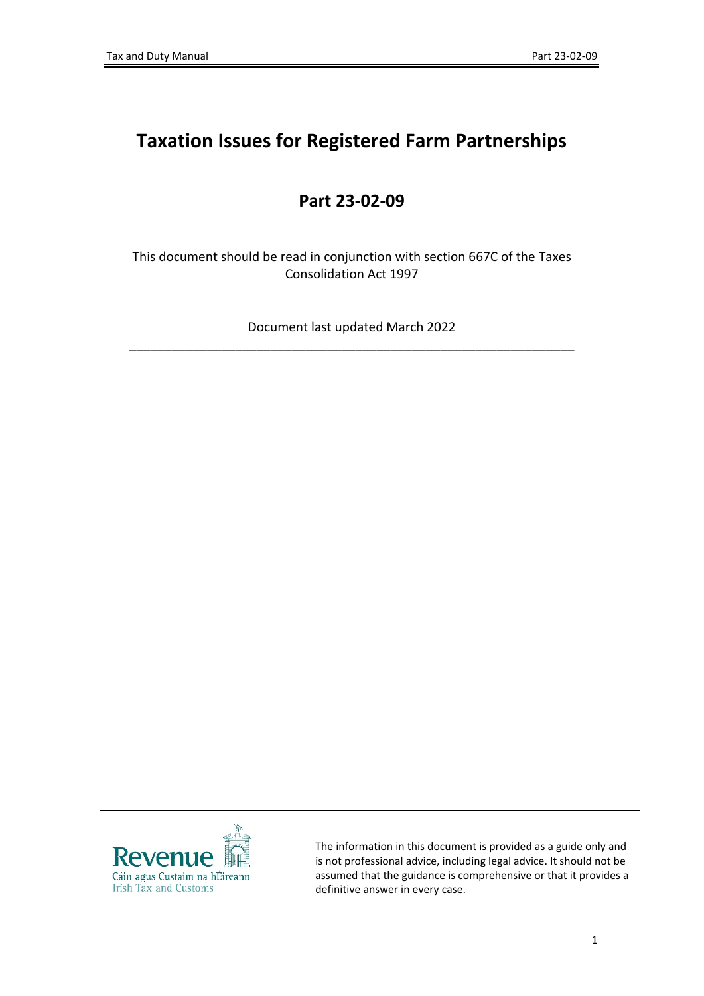# **Taxation Issues for Registered Farm Partnerships**

# **Part 23-02-09**

This document should be read in conjunction with section 667C of the Taxes Consolidation Act 1997

Document last updated March 2022 \_\_\_\_\_\_\_\_\_\_\_\_\_\_\_\_\_\_\_\_\_\_\_\_\_\_\_\_\_\_\_\_\_\_\_\_\_\_\_\_\_\_\_\_\_\_\_\_\_\_\_\_\_\_\_\_\_\_\_\_\_\_\_



The information in this document is provided as a guide only and is not professional advice, including legal advice. It should not be assumed that the guidance is comprehensive or that it provides a definitive answer in every case.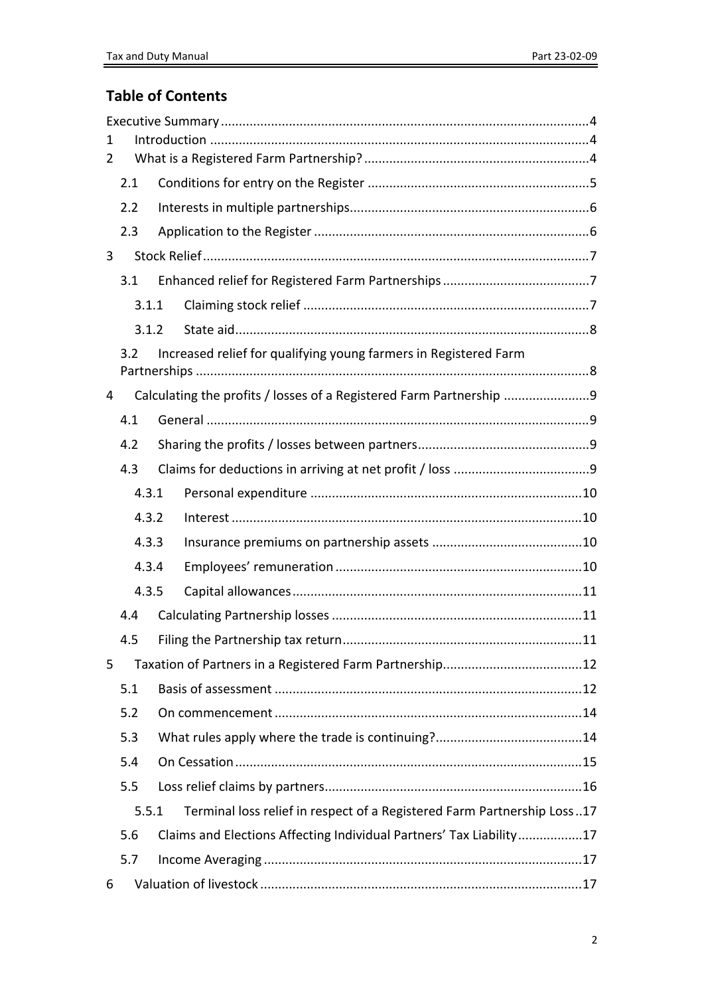## **Table of Contents**

| 1<br>2 |       |  |                                                                         |  |
|--------|-------|--|-------------------------------------------------------------------------|--|
|        | 2.1   |  |                                                                         |  |
|        | 2.2   |  |                                                                         |  |
|        | 2.3   |  |                                                                         |  |
| 3      |       |  |                                                                         |  |
|        | 3.1   |  |                                                                         |  |
|        | 3.1.1 |  |                                                                         |  |
|        | 3.1.2 |  |                                                                         |  |
|        | 3.2   |  | Increased relief for qualifying young farmers in Registered Farm        |  |
|        |       |  |                                                                         |  |
| 4      |       |  | Calculating the profits / losses of a Registered Farm Partnership 9     |  |
|        | 4.1   |  |                                                                         |  |
|        | 4.2   |  |                                                                         |  |
|        | 4.3   |  |                                                                         |  |
|        |       |  |                                                                         |  |
|        | 4.3.1 |  |                                                                         |  |
|        | 4.3.2 |  |                                                                         |  |
|        | 4.3.3 |  |                                                                         |  |
|        | 4.3.4 |  |                                                                         |  |
|        | 4.3.5 |  |                                                                         |  |
|        | 4.4   |  |                                                                         |  |
|        | 4.5   |  |                                                                         |  |
| 5      |       |  |                                                                         |  |
|        | 5.1   |  |                                                                         |  |
|        | 5.2   |  |                                                                         |  |
|        | 5.3   |  |                                                                         |  |
|        | 5.4   |  |                                                                         |  |
|        | 5.5   |  |                                                                         |  |
|        | 5.5.1 |  | Terminal loss relief in respect of a Registered Farm Partnership Loss17 |  |
|        | 5.6   |  | Claims and Elections Affecting Individual Partners' Tax Liability17     |  |
|        | 5.7   |  |                                                                         |  |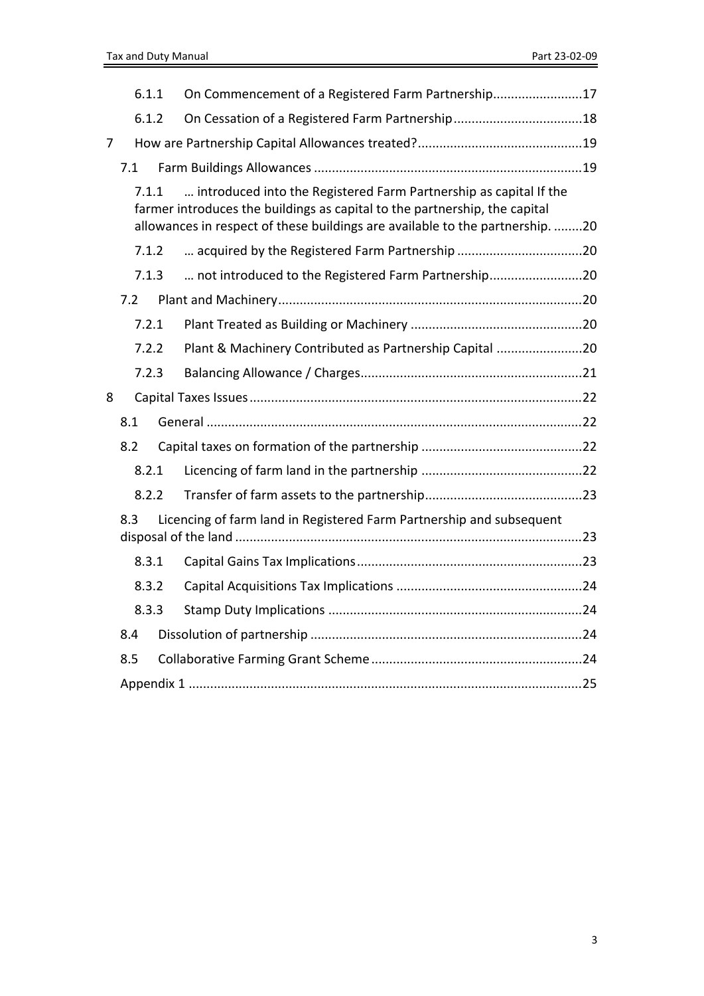|   | 6.1.1 | On Commencement of a Registered Farm Partnership17                                                                                                                                                                             |  |
|---|-------|--------------------------------------------------------------------------------------------------------------------------------------------------------------------------------------------------------------------------------|--|
|   | 6.1.2 |                                                                                                                                                                                                                                |  |
| 7 |       |                                                                                                                                                                                                                                |  |
|   | 7.1   |                                                                                                                                                                                                                                |  |
|   | 7.1.1 | introduced into the Registered Farm Partnership as capital If the<br>farmer introduces the buildings as capital to the partnership, the capital<br>allowances in respect of these buildings are available to the partnership20 |  |
|   | 7.1.2 | acquired by the Registered Farm Partnership 20                                                                                                                                                                                 |  |
|   | 7.1.3 | not introduced to the Registered Farm Partnership20                                                                                                                                                                            |  |
|   | 7.2   |                                                                                                                                                                                                                                |  |
|   | 7.2.1 |                                                                                                                                                                                                                                |  |
|   | 7.2.2 | Plant & Machinery Contributed as Partnership Capital 20                                                                                                                                                                        |  |
|   | 7.2.3 |                                                                                                                                                                                                                                |  |
| 8 |       |                                                                                                                                                                                                                                |  |
|   | 8.1   |                                                                                                                                                                                                                                |  |
|   | 8.2   |                                                                                                                                                                                                                                |  |
|   | 8.2.1 |                                                                                                                                                                                                                                |  |
|   | 8.2.2 |                                                                                                                                                                                                                                |  |
|   | 8.3   | Licencing of farm land in Registered Farm Partnership and subsequent                                                                                                                                                           |  |
|   | 8.3.1 |                                                                                                                                                                                                                                |  |
|   | 8.3.2 |                                                                                                                                                                                                                                |  |
|   | 8.3.3 |                                                                                                                                                                                                                                |  |
|   | 8.4   |                                                                                                                                                                                                                                |  |
|   | 8.5   |                                                                                                                                                                                                                                |  |
|   |       |                                                                                                                                                                                                                                |  |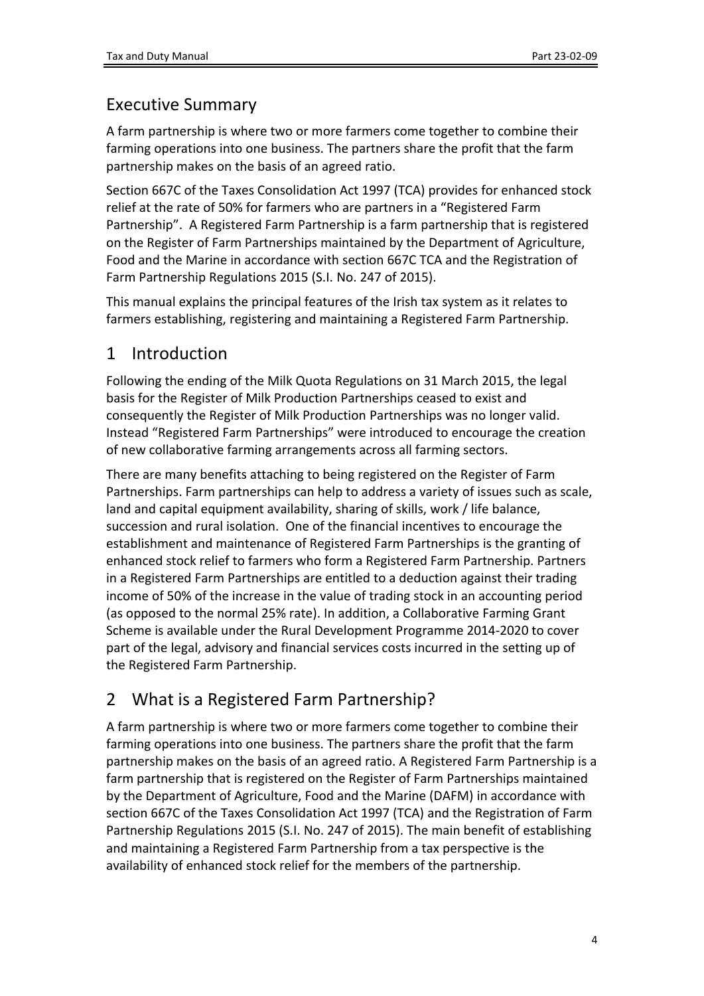# <span id="page-3-0"></span>Executive Summary

A farm partnership is where two or more farmers come together to combine their farming operations into one business. The partners share the profit that the farm partnership makes on the basis of an agreed ratio.

Section 667C of the Taxes Consolidation Act 1997 (TCA) provides for enhanced stock relief at the rate of 50% for farmers who are partners in a "Registered Farm Partnership". A Registered Farm Partnership is a farm partnership that is registered on the Register of Farm Partnerships maintained by the Department of Agriculture, Food and the Marine in accordance with section 667C TCA and the Registration of Farm Partnership Regulations 2015 (S.I. No. 247 of 2015).

This manual explains the principal features of the Irish tax system as it relates to farmers establishing, registering and maintaining a Registered Farm Partnership.

# <span id="page-3-1"></span>1 Introduction

Following the ending of the Milk Quota Regulations on 31 March 2015, the legal basis for the Register of Milk Production Partnerships ceased to exist and consequently the Register of Milk Production Partnerships was no longer valid. Instead "Registered Farm Partnerships" were introduced to encourage the creation of new collaborative farming arrangements across all farming sectors.

There are many benefits attaching to being registered on the Register of Farm Partnerships. Farm partnerships can help to address a variety of issues such as scale, land and capital equipment availability, sharing of skills, work / life balance, succession and rural isolation. One of the financial incentives to encourage the establishment and maintenance of Registered Farm Partnerships is the granting of enhanced stock relief to farmers who form a Registered Farm Partnership. Partners in a Registered Farm Partnerships are entitled to a deduction against their trading income of 50% of the increase in the value of trading stock in an accounting period (as opposed to the normal 25% rate). In addition, a Collaborative Farming Grant Scheme is available under the Rural Development Programme 2014-2020 to cover part of the legal, advisory and financial services costs incurred in the setting up of the Registered Farm Partnership.

# <span id="page-3-2"></span>2 What is a Registered Farm Partnership?

A farm partnership is where two or more farmers come together to combine their farming operations into one business. The partners share the profit that the farm partnership makes on the basis of an agreed ratio. A Registered Farm Partnership is a farm partnership that is registered on the Register of Farm Partnerships maintained by the Department of Agriculture, Food and the Marine (DAFM) in accordance with section 667C of the Taxes Consolidation Act 1997 (TCA) and the Registration of Farm Partnership Regulations 2015 (S.I. No. 247 of 2015). The main benefit of establishing and maintaining a Registered Farm Partnership from a tax perspective is the availability of enhanced stock relief for the members of the partnership.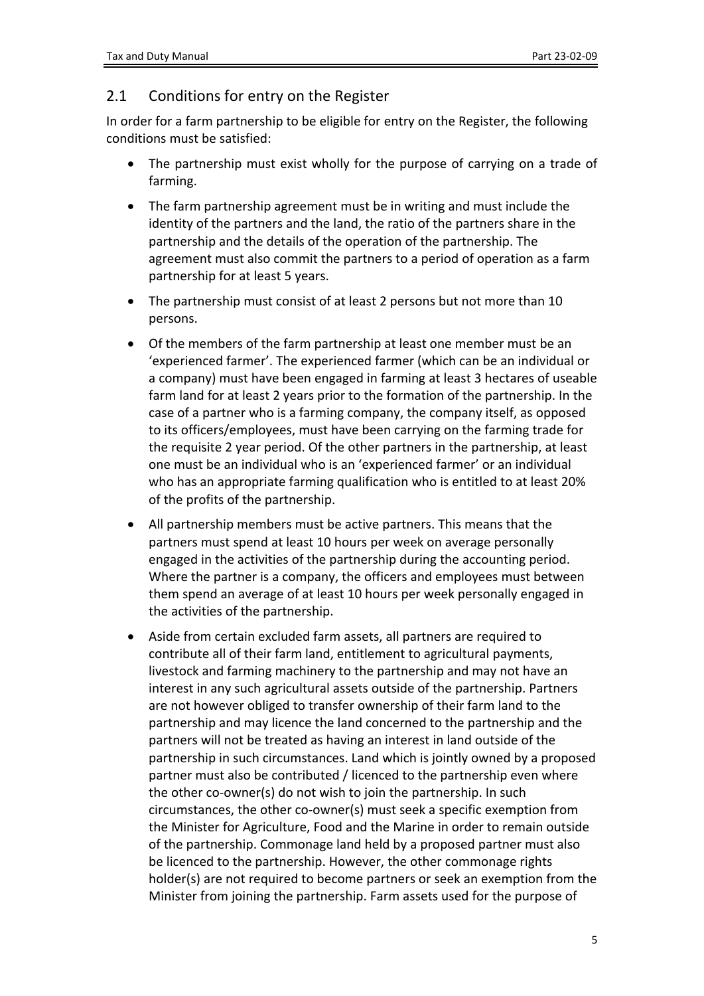## <span id="page-4-0"></span>2.1 Conditions for entry on the Register

In order for a farm partnership to be eligible for entry on the Register, the following conditions must be satisfied:

- The partnership must exist wholly for the purpose of carrying on a trade of farming.
- The farm partnership agreement must be in writing and must include the identity of the partners and the land, the ratio of the partners share in the partnership and the details of the operation of the partnership. The agreement must also commit the partners to a period of operation as a farm partnership for at least 5 years.
- The partnership must consist of at least 2 persons but not more than 10 persons.
- Of the members of the farm partnership at least one member must be an 'experienced farmer'. The experienced farmer (which can be an individual or a company) must have been engaged in farming at least 3 hectares of useable farm land for at least 2 years prior to the formation of the partnership. In the case of a partner who is a farming company, the company itself, as opposed to its officers/employees, must have been carrying on the farming trade for the requisite 2 year period. Of the other partners in the partnership, at least one must be an individual who is an 'experienced farmer' or an individual who has an appropriate farming qualification who is entitled to at least 20% of the profits of the partnership.
- All partnership members must be active partners. This means that the partners must spend at least 10 hours per week on average personally engaged in the activities of the partnership during the accounting period. Where the partner is a company, the officers and employees must between them spend an average of at least 10 hours per week personally engaged in the activities of the partnership.
- Aside from certain excluded farm assets, all partners are required to contribute all of their farm land, entitlement to agricultural payments, livestock and farming machinery to the partnership and may not have an interest in any such agricultural assets outside of the partnership. Partners are not however obliged to transfer ownership of their farm land to the partnership and may licence the land concerned to the partnership and the partners will not be treated as having an interest in land outside of the partnership in such circumstances. Land which is jointly owned by a proposed partner must also be contributed / licenced to the partnership even where the other co-owner(s) do not wish to join the partnership. In such circumstances, the other co-owner(s) must seek a specific exemption from the Minister for Agriculture, Food and the Marine in order to remain outside of the partnership. Commonage land held by a proposed partner must also be licenced to the partnership. However, the other commonage rights holder(s) are not required to become partners or seek an exemption from the Minister from joining the partnership. Farm assets used for the purpose of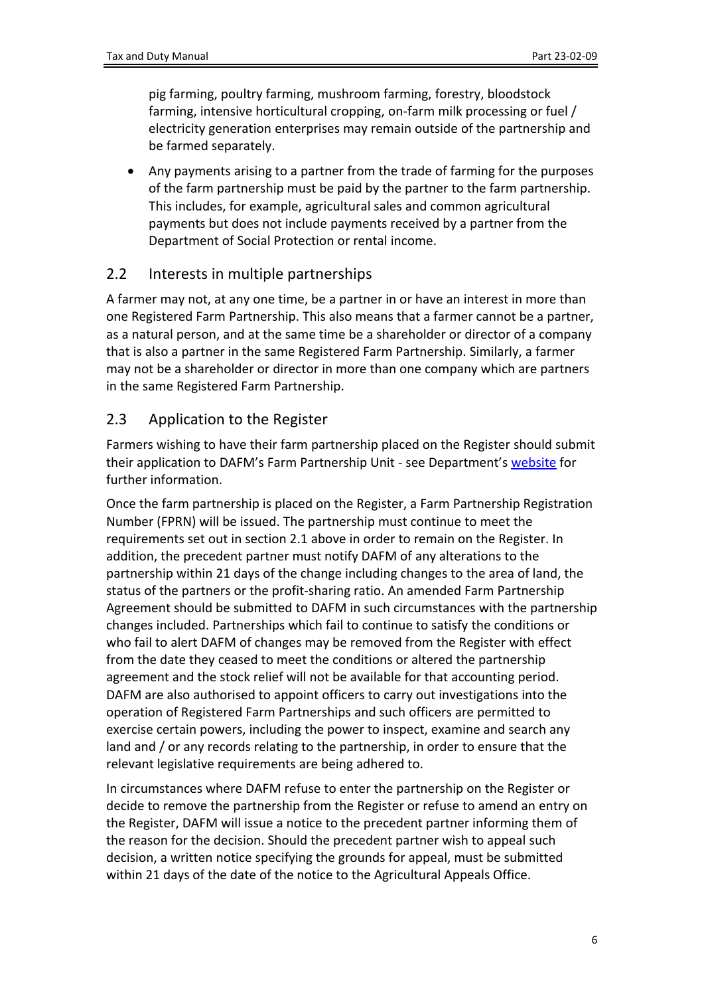pig farming, poultry farming, mushroom farming, forestry, bloodstock farming, intensive horticultural cropping, on-farm milk processing or fuel / electricity generation enterprises may remain outside of the partnership and be farmed separately.

 Any payments arising to a partner from the trade of farming for the purposes of the farm partnership must be paid by the partner to the farm partnership. This includes, for example, agricultural sales and common agricultural payments but does not include payments received by a partner from the Department of Social Protection or rental income.

## <span id="page-5-0"></span>2.2 Interests in multiple partnerships

A farmer may not, at any one time, be a partner in or have an interest in more than one Registered Farm Partnership. This also means that a farmer cannot be a partner, as a natural person, and at the same time be a shareholder or director of a company that is also a partner in the same Registered Farm Partnership. Similarly, a farmer may not be a shareholder or director in more than one company which are partners in the same Registered Farm Partnership.

## <span id="page-5-1"></span>2.3 Application to the Register

Farmers wishing to have their farm partnership placed on the Register should submit their application to DAFM's Farm Partnership Unit - see Department's [website](http://www.agriculture.gov.ie/farmingsectors/newfarmpartnershipregister) for further information.

Once the farm partnership is placed on the Register, a Farm Partnership Registration Number (FPRN) will be issued. The partnership must continue to meet the requirements set out in section 2.1 above in order to remain on the Register. In addition, the precedent partner must notify DAFM of any alterations to the partnership within 21 days of the change including changes to the area of land, the status of the partners or the profit-sharing ratio. An amended Farm Partnership Agreement should be submitted to DAFM in such circumstances with the partnership changes included. Partnerships which fail to continue to satisfy the conditions or who fail to alert DAFM of changes may be removed from the Register with effect from the date they ceased to meet the conditions or altered the partnership agreement and the stock relief will not be available for that accounting period. DAFM are also authorised to appoint officers to carry out investigations into the operation of Registered Farm Partnerships and such officers are permitted to exercise certain powers, including the power to inspect, examine and search any land and / or any records relating to the partnership, in order to ensure that the relevant legislative requirements are being adhered to.

In circumstances where DAFM refuse to enter the partnership on the Register or decide to remove the partnership from the Register or refuse to amend an entry on the Register, DAFM will issue a notice to the precedent partner informing them of the reason for the decision. Should the precedent partner wish to appeal such decision, a written notice specifying the grounds for appeal, must be submitted within 21 days of the date of the notice to the Agricultural Appeals Office.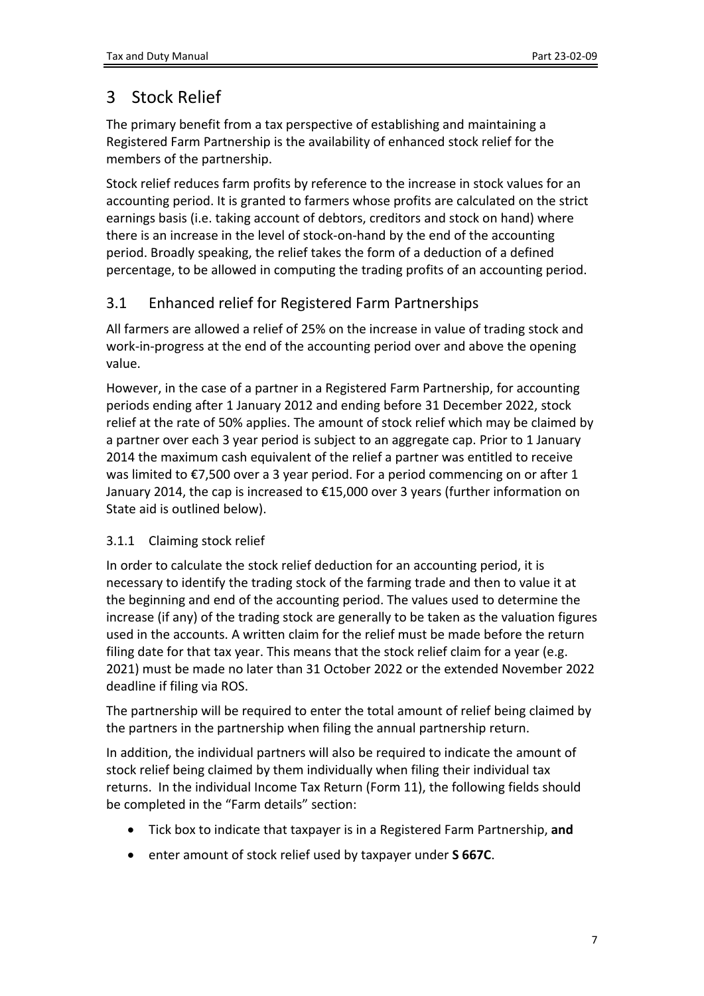# <span id="page-6-0"></span>3 Stock Relief

The primary benefit from a tax perspective of establishing and maintaining a Registered Farm Partnership is the availability of enhanced stock relief for the members of the partnership.

Stock relief reduces farm profits by reference to the increase in stock values for an accounting period. It is granted to farmers whose profits are calculated on the strict earnings basis (i.e. taking account of debtors, creditors and stock on hand) where there is an increase in the level of stock-on-hand by the end of the accounting period. Broadly speaking, the relief takes the form of a deduction of a defined percentage, to be allowed in computing the trading profits of an accounting period.

## <span id="page-6-1"></span>3.1 Enhanced relief for Registered Farm Partnerships

All farmers are allowed a relief of 25% on the increase in value of trading stock and work-in-progress at the end of the accounting period over and above the opening value.

However, in the case of a partner in a Registered Farm Partnership, for accounting periods ending after 1 January 2012 and ending before 31 December 2022, stock relief at the rate of 50% applies. The amount of stock relief which may be claimed by a partner over each 3 year period is subject to an aggregate cap. Prior to 1 January 2014 the maximum cash equivalent of the relief a partner was entitled to receive was limited to €7,500 over a 3 year period. For a period commencing on or after 1 January 2014, the cap is increased to €15,000 over 3 years (further information on State aid is outlined below).

## <span id="page-6-2"></span>3.1.1 Claiming stock relief

In order to calculate the stock relief deduction for an accounting period, it is necessary to identify the trading stock of the farming trade and then to value it at the beginning and end of the accounting period. The values used to determine the increase (if any) of the trading stock are generally to be taken as the valuation figures used in the accounts. A written claim for the relief must be made before the return filing date for that tax year. This means that the stock relief claim for a year (e.g. 2021) must be made no later than 31 October 2022 or the extended November 2022 deadline if filing via ROS.

The partnership will be required to enter the total amount of relief being claimed by the partners in the partnership when filing the annual partnership return.

In addition, the individual partners will also be required to indicate the amount of stock relief being claimed by them individually when filing their individual tax returns. In the individual Income Tax Return (Form 11), the following fields should be completed in the "Farm details" section:

- Tick box to indicate that taxpayer is in a Registered Farm Partnership, **and**
- enter amount of stock relief used by taxpayer under **S 667C**.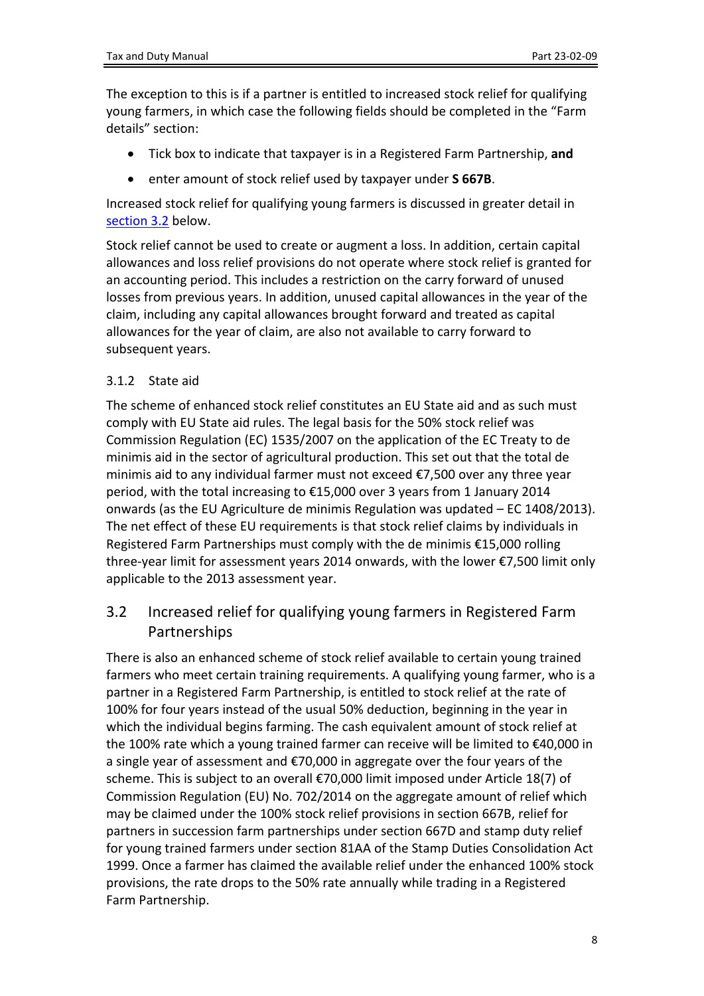The exception to this is if a partner is entitled to increased stock relief for qualifying young farmers, in which case the following fields should be completed in the "Farm details" section:

- Tick box to indicate that taxpayer is in a Registered Farm Partnership, **and**
- enter amount of stock relief used by taxpayer under **S 667B**.

Increased stock relief for qualifying young farmers is discussed in greater detail in [section](#page-7-1) [3.2](#page-7-1) below.

Stock relief cannot be used to create or augment a loss. In addition, certain capital allowances and loss relief provisions do not operate where stock relief is granted for an accounting period. This includes a restriction on the carry forward of unused losses from previous years. In addition, unused capital allowances in the year of the claim, including any capital allowances brought forward and treated as capital allowances for the year of claim, are also not available to carry forward to subsequent years.

#### <span id="page-7-0"></span>3.1.2 State aid

The scheme of enhanced stock relief constitutes an EU State aid and as such must comply with EU State aid rules. The legal basis for the 50% stock relief was Commission Regulation (EC) 1535/2007 on the application of the EC Treaty to de minimis aid in the sector of agricultural production. This set out that the total de minimis aid to any individual farmer must not exceed €7,500 over any three year period, with the total increasing to €15,000 over 3 years from 1 January 2014 onwards (as the EU Agriculture de minimis Regulation was updated – EC 1408/2013). The net effect of these EU requirements is that stock relief claims by individuals in Registered Farm Partnerships must comply with the de minimis €15,000 rolling three-year limit for assessment years 2014 onwards, with the lower €7,500 limit only applicable to the 2013 assessment year.

## <span id="page-7-1"></span>3.2 Increased relief for qualifying young farmers in Registered Farm Partnerships

There is also an enhanced scheme of stock relief available to certain young trained farmers who meet certain training requirements. A qualifying young farmer, who is a partner in a Registered Farm Partnership, is entitled to stock relief at the rate of 100% for four years instead of the usual 50% deduction, beginning in the year in which the individual begins farming. The cash equivalent amount of stock relief at the 100% rate which a young trained farmer can receive will be limited to €40,000 in a single year of assessment and €70,000 in aggregate over the four years of the scheme. This is subject to an overall €70,000 limit imposed under Article 18(7) of Commission Regulation (EU) No. 702/2014 on the aggregate amount of relief which may be claimed under the 100% stock relief provisions in section 667B, relief for partners in succession farm partnerships under section 667D and stamp duty relief for young trained farmers under section 81AA of the Stamp Duties Consolidation Act 1999. Once a farmer has claimed the available relief under the enhanced 100% stock provisions, the rate drops to the 50% rate annually while trading in a Registered Farm Partnership.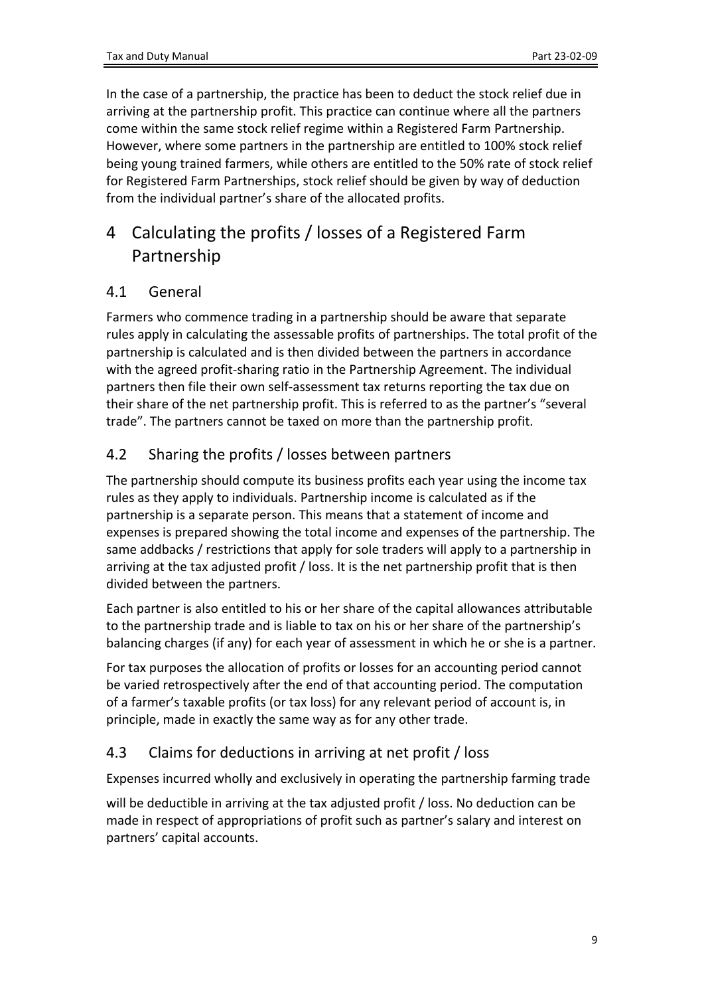In the case of a partnership, the practice has been to deduct the stock relief due in arriving at the partnership profit. This practice can continue where all the partners come within the same stock relief regime within a Registered Farm Partnership. However, where some partners in the partnership are entitled to 100% stock relief being young trained farmers, while others are entitled to the 50% rate of stock relief for Registered Farm Partnerships, stock relief should be given by way of deduction from the individual partner's share of the allocated profits.

# <span id="page-8-0"></span>4 Calculating the profits / losses of a Registered Farm Partnership

## <span id="page-8-1"></span>4.1 General

Farmers who commence trading in a partnership should be aware that separate rules apply in calculating the assessable profits of partnerships. The total profit of the partnership is calculated and is then divided between the partners in accordance with the agreed profit-sharing ratio in the Partnership Agreement. The individual partners then file their own self-assessment tax returns reporting the tax due on their share of the net partnership profit. This is referred to as the partner's "several trade". The partners cannot be taxed on more than the partnership profit.

## <span id="page-8-2"></span>4.2 Sharing the profits / losses between partners

The partnership should compute its business profits each year using the income tax rules as they apply to individuals. Partnership income is calculated as if the partnership is a separate person. This means that a statement of income and expenses is prepared showing the total income and expenses of the partnership. The same addbacks / restrictions that apply for sole traders will apply to a partnership in arriving at the tax adjusted profit / loss. It is the net partnership profit that is then divided between the partners.

Each partner is also entitled to his or her share of the capital allowances attributable to the partnership trade and is liable to tax on his or her share of the partnership's balancing charges (if any) for each year of assessment in which he or she is a partner.

For tax purposes the allocation of profits or losses for an accounting period cannot be varied retrospectively after the end of that accounting period. The computation of a farmer's taxable profits (or tax loss) for any relevant period of account is, in principle, made in exactly the same way as for any other trade.

## <span id="page-8-3"></span>4.3 Claims for deductions in arriving at net profit / loss

Expenses incurred wholly and exclusively in operating the partnership farming trade

will be deductible in arriving at the tax adjusted profit / loss. No deduction can be made in respect of appropriations of profit such as partner's salary and interest on partners' capital accounts.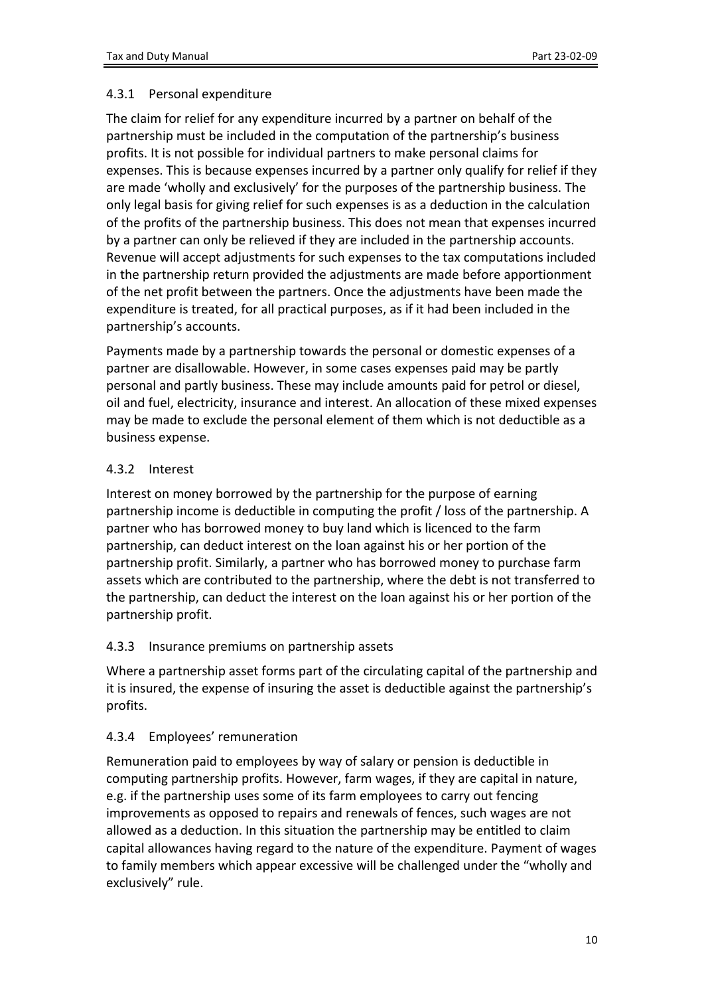#### <span id="page-9-0"></span>4.3.1 Personal expenditure

The claim for relief for any expenditure incurred by a partner on behalf of the partnership must be included in the computation of the partnership's business profits. It is not possible for individual partners to make personal claims for expenses. This is because expenses incurred by a partner only qualify for relief if they are made 'wholly and exclusively' for the purposes of the partnership business. The only legal basis for giving relief for such expenses is as a deduction in the calculation of the profits of the partnership business. This does not mean that expenses incurred by a partner can only be relieved if they are included in the partnership accounts. Revenue will accept adjustments for such expenses to the tax computations included in the partnership return provided the adjustments are made before apportionment of the net profit between the partners. Once the adjustments have been made the expenditure is treated, for all practical purposes, as if it had been included in the partnership's accounts.

Payments made by a partnership towards the personal or domestic expenses of a partner are disallowable. However, in some cases expenses paid may be partly personal and partly business. These may include amounts paid for petrol or diesel, oil and fuel, electricity, insurance and interest. An allocation of these mixed expenses may be made to exclude the personal element of them which is not deductible as a business expense.

#### <span id="page-9-1"></span>4.3.2 Interest

Interest on money borrowed by the partnership for the purpose of earning partnership income is deductible in computing the profit / loss of the partnership. A partner who has borrowed money to buy land which is licenced to the farm partnership, can deduct interest on the loan against his or her portion of the partnership profit. Similarly, a partner who has borrowed money to purchase farm assets which are contributed to the partnership, where the debt is not transferred to the partnership, can deduct the interest on the loan against his or her portion of the partnership profit.

#### <span id="page-9-2"></span>4.3.3 Insurance premiums on partnership assets

Where a partnership asset forms part of the circulating capital of the partnership and it is insured, the expense of insuring the asset is deductible against the partnership's profits.

## <span id="page-9-3"></span>4.3.4 Employees' remuneration

Remuneration paid to employees by way of salary or pension is deductible in computing partnership profits. However, farm wages, if they are capital in nature, e.g. if the partnership uses some of its farm employees to carry out fencing improvements as opposed to repairs and renewals of fences, such wages are not allowed as a deduction. In this situation the partnership may be entitled to claim capital allowances having regard to the nature of the expenditure. Payment of wages to family members which appear excessive will be challenged under the "wholly and exclusively" rule.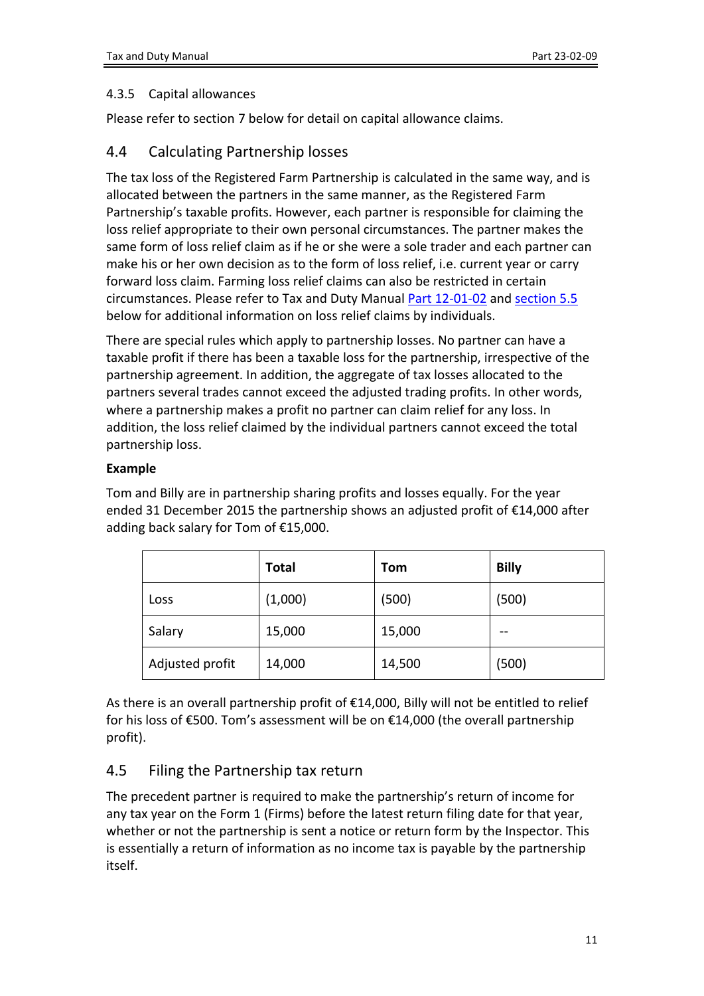#### <span id="page-10-0"></span>4.3.5 Capital allowances

Please refer to section 7 below for detail on capital allowance claims.

### <span id="page-10-1"></span>4.4 Calculating Partnership losses

The tax loss of the Registered Farm Partnership is calculated in the same way, and is allocated between the partners in the same manner, as the Registered Farm Partnership's taxable profits. However, each partner is responsible for claiming the loss relief appropriate to their own personal circumstances. The partner makes the same form of loss relief claim as if he or she were a sole trader and each partner can make his or her own decision as to the form of loss relief, i.e. current year or carry forward loss claim. Farming loss relief claims can also be restricted in certain circumstances. Please refer to Tax and Duty Manual [Part](https://www.revenue.ie/en/tax-professionals/tdm/income-tax-capital-gains-tax-corporation-tax/part-12/12-01-02.pdf) [12-01-02](https://www.revenue.ie/en/tax-professionals/tdm/income-tax-capital-gains-tax-corporation-tax/part-12/12-01-02.pdf) and [section](#page-15-1) [5.5](#page-15-1) below for additional information on loss relief claims by individuals.

There are special rules which apply to partnership losses. No partner can have a taxable profit if there has been a taxable loss for the partnership, irrespective of the partnership agreement. In addition, the aggregate of tax losses allocated to the partners several trades cannot exceed the adjusted trading profits. In other words, where a partnership makes a profit no partner can claim relief for any loss. In addition, the loss relief claimed by the individual partners cannot exceed the total partnership loss.

#### **Example**

Tom and Billy are in partnership sharing profits and losses equally. For the year ended 31 December 2015 the partnership shows an adjusted profit of €14,000 after adding back salary for Tom of €15,000.

|                 | <b>Total</b> | Tom    | <b>Billy</b> |
|-----------------|--------------|--------|--------------|
| Loss            | (1,000)      | (500)  | (500)        |
| Salary          | 15,000       | 15,000 |              |
| Adjusted profit | 14,000       | 14,500 | (500)        |

As there is an overall partnership profit of €14,000, Billy will not be entitled to relief for his loss of €500. Tom's assessment will be on €14,000 (the overall partnership profit).

## <span id="page-10-2"></span>4.5 Filing the Partnership tax return

The precedent partner is required to make the partnership's return of income for any tax year on the Form 1 (Firms) before the latest return filing date for that year, whether or not the partnership is sent a notice or return form by the Inspector. This is essentially a return of information as no income tax is payable by the partnership itself.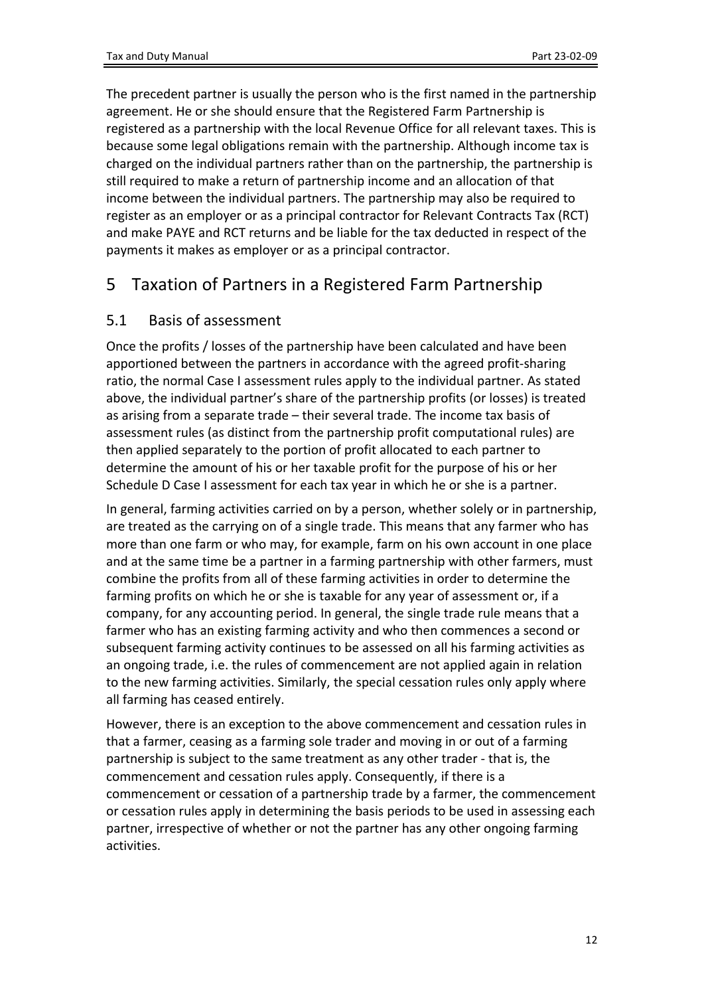The precedent partner is usually the person who is the first named in the partnership agreement. He or she should ensure that the Registered Farm Partnership is registered as a partnership with the local Revenue Office for all relevant taxes. This is because some legal obligations remain with the partnership. Although income tax is charged on the individual partners rather than on the partnership, the partnership is still required to make a return of partnership income and an allocation of that income between the individual partners. The partnership may also be required to register as an employer or as a principal contractor for Relevant Contracts Tax (RCT) and make PAYE and RCT returns and be liable for the tax deducted in respect of the payments it makes as employer or as a principal contractor.

# <span id="page-11-0"></span>5 Taxation of Partners in a Registered Farm Partnership

## <span id="page-11-1"></span>5.1 Basis of assessment

Once the profits / losses of the partnership have been calculated and have been apportioned between the partners in accordance with the agreed profit-sharing ratio, the normal Case I assessment rules apply to the individual partner. As stated above, the individual partner's share of the partnership profits (or losses) is treated as arising from a separate trade – their several trade. The income tax basis of assessment rules (as distinct from the partnership profit computational rules) are then applied separately to the portion of profit allocated to each partner to determine the amount of his or her taxable profit for the purpose of his or her Schedule D Case I assessment for each tax year in which he or she is a partner.

In general, farming activities carried on by a person, whether solely or in partnership, are treated as the carrying on of a single trade. This means that any farmer who has more than one farm or who may, for example, farm on his own account in one place and at the same time be a partner in a farming partnership with other farmers, must combine the profits from all of these farming activities in order to determine the farming profits on which he or she is taxable for any year of assessment or, if a company, for any accounting period. In general, the single trade rule means that a farmer who has an existing farming activity and who then commences a second or subsequent farming activity continues to be assessed on all his farming activities as an ongoing trade, i.e. the rules of commencement are not applied again in relation to the new farming activities. Similarly, the special cessation rules only apply where all farming has ceased entirely.

However, there is an exception to the above commencement and cessation rules in that a farmer, ceasing as a farming sole trader and moving in or out of a farming partnership is subject to the same treatment as any other trader - that is, the commencement and cessation rules apply. Consequently, if there is a commencement or cessation of a partnership trade by a farmer, the commencement or cessation rules apply in determining the basis periods to be used in assessing each partner, irrespective of whether or not the partner has any other ongoing farming activities.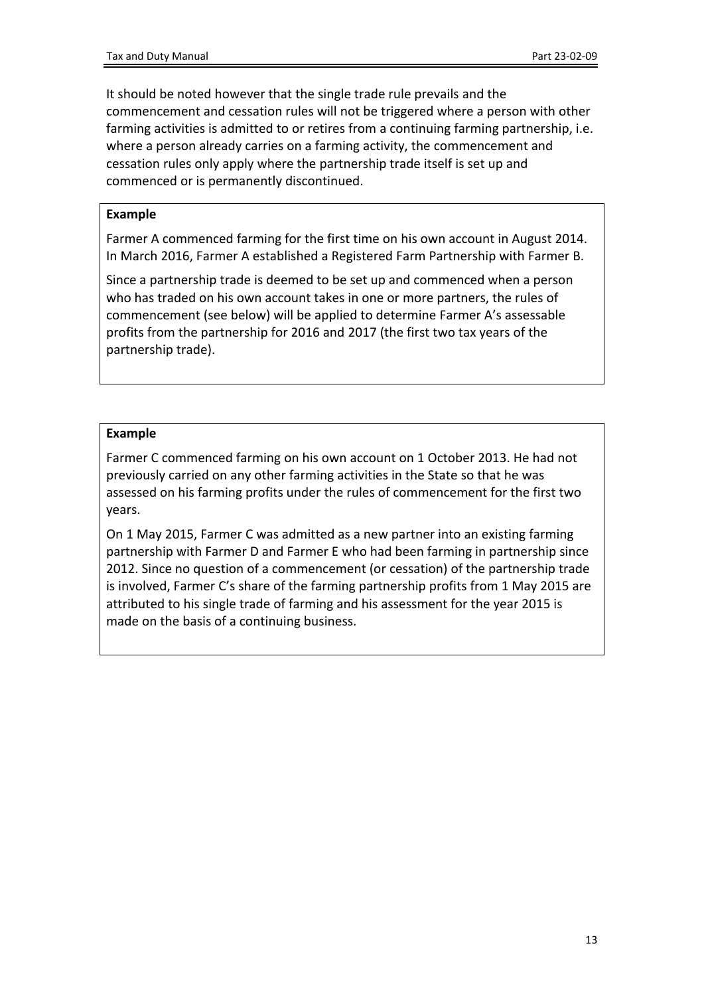It should be noted however that the single trade rule prevails and the commencement and cessation rules will not be triggered where a person with other farming activities is admitted to or retires from a continuing farming partnership, i.e. where a person already carries on a farming activity, the commencement and cessation rules only apply where the partnership trade itself is set up and commenced or is permanently discontinued.

#### **Example**

Farmer A commenced farming for the first time on his own account in August 2014. In March 2016, Farmer A established a Registered Farm Partnership with Farmer B.

Since a partnership trade is deemed to be set up and commenced when a person who has traded on his own account takes in one or more partners, the rules of commencement (see below) will be applied to determine Farmer A's assessable profits from the partnership for 2016 and 2017 (the first two tax years of the partnership trade).

#### **Example**

Farmer C commenced farming on his own account on 1 October 2013. He had not previously carried on any other farming activities in the State so that he was assessed on his farming profits under the rules of commencement for the first two years.

On 1 May 2015, Farmer C was admitted as a new partner into an existing farming partnership with Farmer D and Farmer E who had been farming in partnership since 2012. Since no question of a commencement (or cessation) of the partnership trade is involved, Farmer C's share of the farming partnership profits from 1 May 2015 are attributed to his single trade of farming and his assessment for the year 2015 is made on the basis of a continuing business.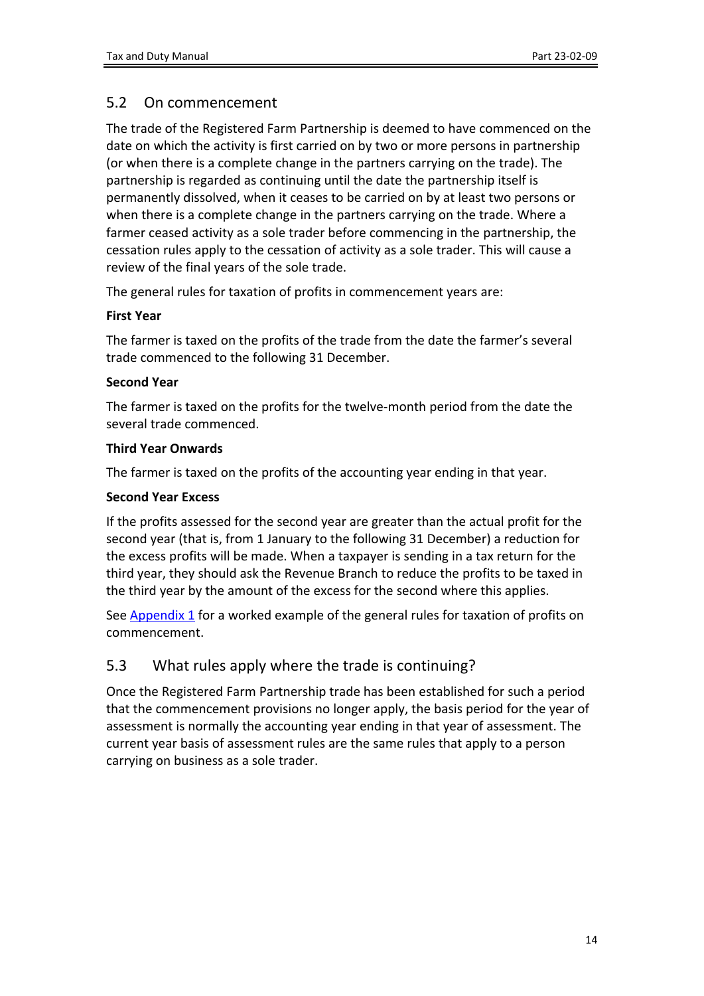## <span id="page-13-0"></span>5.2 On commencement

The trade of the Registered Farm Partnership is deemed to have commenced on the date on which the activity is first carried on by two or more persons in partnership (or when there is a complete change in the partners carrying on the trade). The partnership is regarded as continuing until the date the partnership itself is permanently dissolved, when it ceases to be carried on by at least two persons or when there is a complete change in the partners carrying on the trade. Where a farmer ceased activity as a sole trader before commencing in the partnership, the cessation rules apply to the cessation of activity as a sole trader. This will cause a review of the final years of the sole trade.

The general rules for taxation of profits in commencement years are:

#### **First Year**

The farmer is taxed on the profits of the trade from the date the farmer's several trade commenced to the following 31 December.

#### **Second Year**

The farmer is taxed on the profits for the twelve-month period from the date the several trade commenced.

#### **Third Year Onwards**

The farmer is taxed on the profits of the accounting year ending in that year.

#### **Second Year Excess**

If the profits assessed for the second year are greater than the actual profit for the second year (that is, from 1 January to the following 31 December) a reduction for the excess profits will be made. When a taxpayer is sending in a tax return for the third year, they should ask the Revenue Branch to reduce the profits to be taxed in the third year by the amount of the excess for the second where this applies.

See [Appendix](#page-23-4) [1](#page-23-4) for a worked example of the general rules for taxation of profits on commencement.

## <span id="page-13-1"></span>5.3 What rules apply where the trade is continuing?

Once the Registered Farm Partnership trade has been established for such a period that the commencement provisions no longer apply, the basis period for the year of assessment is normally the accounting year ending in that year of assessment. The current year basis of assessment rules are the same rules that apply to a person carrying on business as a sole trader.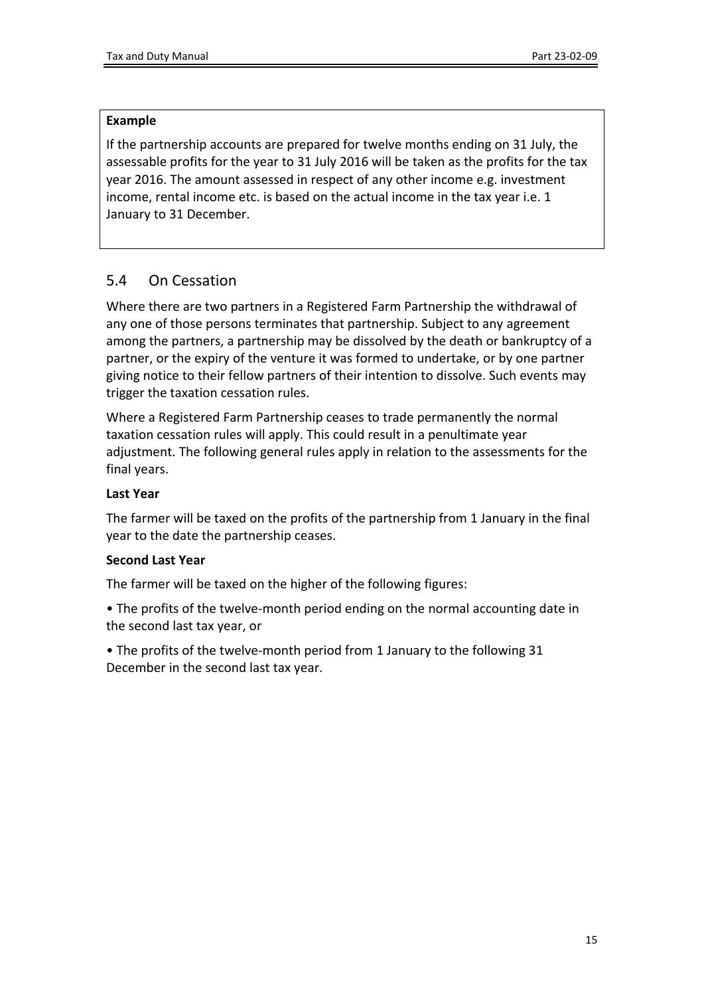#### **Example**

If the partnership accounts are prepared for twelve months ending on 31 July, the assessable profits for the year to 31 July 2016 will be taken as the profits for the tax year 2016. The amount assessed in respect of any other income e.g. investment income, rental income etc. is based on the actual income in the tax year i.e. 1 January to 31 December.

## <span id="page-14-0"></span>5.4 On Cessation

Where there are two partners in a Registered Farm Partnership the withdrawal of any one of those persons terminates that partnership. Subject to any agreement among the partners, a partnership may be dissolved by the death or bankruptcy of a partner, or the expiry of the venture it was formed to undertake, or by one partner giving notice to their fellow partners of their intention to dissolve. Such events may trigger the taxation cessation rules.

Where a Registered Farm Partnership ceases to trade permanently the normal taxation cessation rules will apply. This could result in a penultimate year adjustment. The following general rules apply in relation to the assessments for the final years.

#### **Last Year**

The farmer will be taxed on the profits of the partnership from 1 January in the final year to the date the partnership ceases.

#### **Second Last Year**

The farmer will be taxed on the higher of the following figures:

• The profits of the twelve-month period ending on the normal accounting date in the second last tax year, or

• The profits of the twelve-month period from 1 January to the following 31 December in the second last tax year.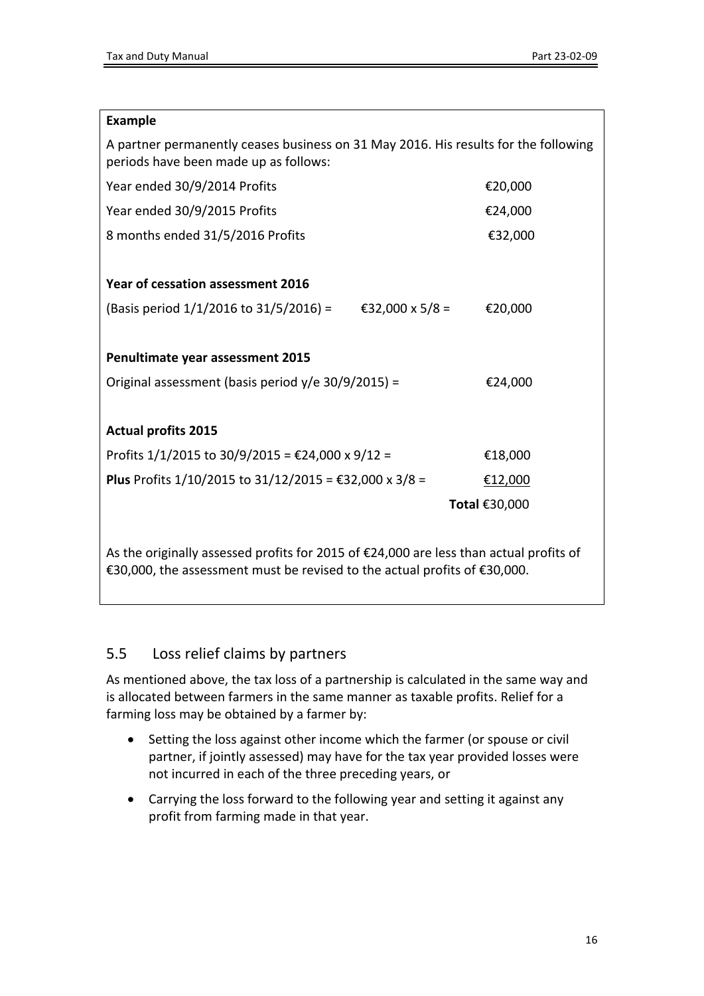| <b>Example</b>                                                                                                               |               |  |  |  |
|------------------------------------------------------------------------------------------------------------------------------|---------------|--|--|--|
| A partner permanently ceases business on 31 May 2016. His results for the following<br>periods have been made up as follows: |               |  |  |  |
| Year ended 30/9/2014 Profits                                                                                                 | €20,000       |  |  |  |
| Year ended 30/9/2015 Profits                                                                                                 | €24,000       |  |  |  |
| 8 months ended 31/5/2016 Profits                                                                                             | €32,000       |  |  |  |
|                                                                                                                              |               |  |  |  |
| Year of cessation assessment 2016                                                                                            |               |  |  |  |
| (Basis period $1/1/2016$ to $31/5/2016$ ) = $\text{\textsterling}32,000 \times 5/8$ =                                        | €20,000       |  |  |  |
|                                                                                                                              |               |  |  |  |
| Penultimate year assessment 2015                                                                                             |               |  |  |  |
| Original assessment (basis period $y/e$ 30/9/2015) =                                                                         | €24,000       |  |  |  |
|                                                                                                                              |               |  |  |  |
| <b>Actual profits 2015</b>                                                                                                   |               |  |  |  |
| Profits $1/1/2015$ to $30/9/2015 = \text{\textsterling}24,000 \times 9/12 =$                                                 | €18,000       |  |  |  |
| Plus Profits 1/10/2015 to 31/12/2015 = €32,000 x 3/8 =                                                                       | €12,000       |  |  |  |
|                                                                                                                              | Total €30,000 |  |  |  |
|                                                                                                                              |               |  |  |  |
| As the originally assessed profits for 2015 of €24,000 are less than actual profits of                                       |               |  |  |  |
| €30,000, the assessment must be revised to the actual profits of €30,000.                                                    |               |  |  |  |

## <span id="page-15-1"></span><span id="page-15-0"></span>5.5 Loss relief claims by partners

As mentioned above, the tax loss of a partnership is calculated in the same way and is allocated between farmers in the same manner as taxable profits. Relief for a farming loss may be obtained by a farmer by:

- Setting the loss against other income which the farmer (or spouse or civil partner, if jointly assessed) may have for the tax year provided losses were not incurred in each of the three preceding years, or
- Carrying the loss forward to the following year and setting it against any profit from farming made in that year.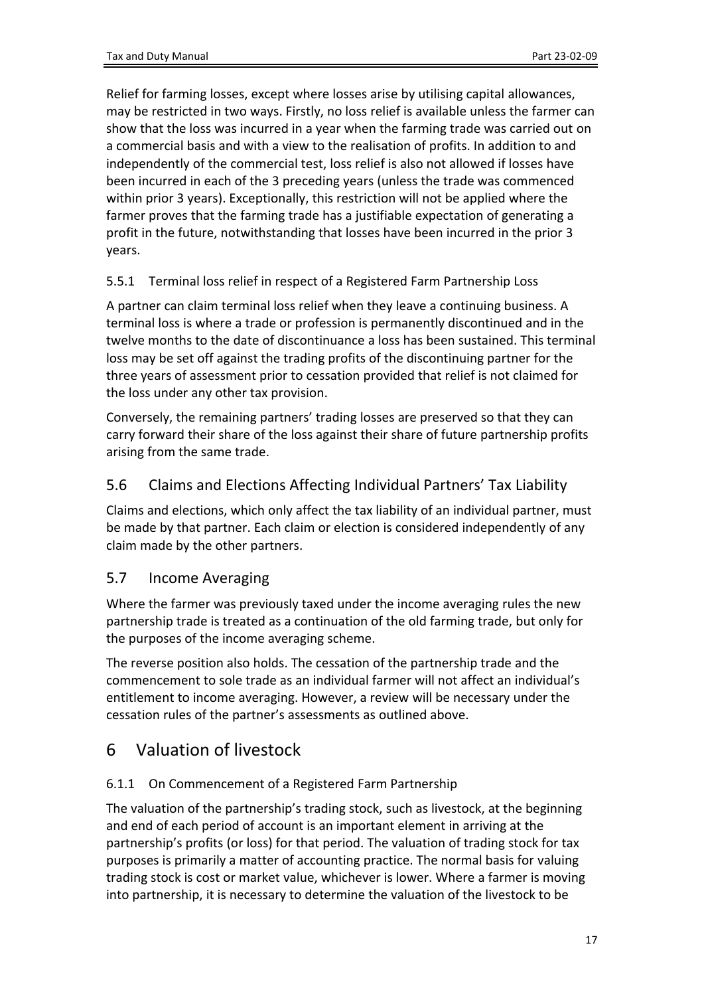Relief for farming losses, except where losses arise by utilising capital allowances, may be restricted in two ways. Firstly, no loss relief is available unless the farmer can show that the loss was incurred in a year when the farming trade was carried out on a commercial basis and with a view to the realisation of profits. In addition to and independently of the commercial test, loss relief is also not allowed if losses have been incurred in each of the 3 preceding years (unless the trade was commenced within prior 3 years). Exceptionally, this restriction will not be applied where the farmer proves that the farming trade has a justifiable expectation of generating a profit in the future, notwithstanding that losses have been incurred in the prior 3 years.

#### <span id="page-16-0"></span>5.5.1 Terminal loss relief in respect of a Registered Farm Partnership Loss

A partner can claim terminal loss relief when they leave a continuing business. A terminal loss is where a trade or profession is permanently discontinued and in the twelve months to the date of discontinuance a loss has been sustained. This terminal loss may be set off against the trading profits of the discontinuing partner for the three years of assessment prior to cessation provided that relief is not claimed for the loss under any other tax provision.

Conversely, the remaining partners' trading losses are preserved so that they can carry forward their share of the loss against their share of future partnership profits arising from the same trade.

## <span id="page-16-1"></span>5.6 Claims and Elections Affecting Individual Partners' Tax Liability

Claims and elections, which only affect the tax liability of an individual partner, must be made by that partner. Each claim or election is considered independently of any claim made by the other partners.

## <span id="page-16-2"></span>5.7 Income Averaging

Where the farmer was previously taxed under the income averaging rules the new partnership trade is treated as a continuation of the old farming trade, but only for the purposes of the income averaging scheme.

The reverse position also holds. The cessation of the partnership trade and the commencement to sole trade as an individual farmer will not affect an individual's entitlement to income averaging. However, a review will be necessary under the cessation rules of the partner's assessments as outlined above.

## <span id="page-16-3"></span>6 Valuation of livestock

#### <span id="page-16-4"></span>6.1.1 On Commencement of a Registered Farm Partnership

The valuation of the partnership's trading stock, such as livestock, at the beginning and end of each period of account is an important element in arriving at the partnership's profits (or loss) for that period. The valuation of trading stock for tax purposes is primarily a matter of accounting practice. The normal basis for valuing trading stock is cost or market value, whichever is lower. Where a farmer is moving into partnership, it is necessary to determine the valuation of the livestock to be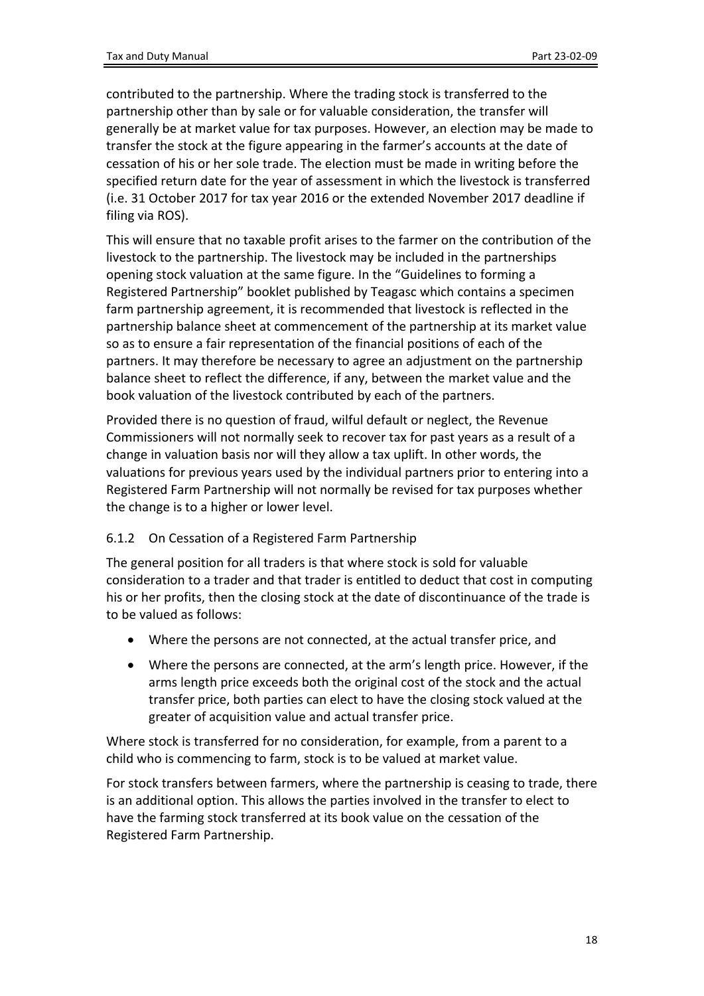contributed to the partnership. Where the trading stock is transferred to the partnership other than by sale or for valuable consideration, the transfer will generally be at market value for tax purposes. However, an election may be made to transfer the stock at the figure appearing in the farmer's accounts at the date of cessation of his or her sole trade. The election must be made in writing before the specified return date for the year of assessment in which the livestock is transferred (i.e. 31 October 2017 for tax year 2016 or the extended November 2017 deadline if filing via ROS).

This will ensure that no taxable profit arises to the farmer on the contribution of the livestock to the partnership. The livestock may be included in the partnerships opening stock valuation at the same figure. In the "Guidelines to forming a Registered Partnership" booklet published by Teagasc which contains a specimen farm partnership agreement, it is recommended that livestock is reflected in the partnership balance sheet at commencement of the partnership at its market value so as to ensure a fair representation of the financial positions of each of the partners. It may therefore be necessary to agree an adjustment on the partnership balance sheet to reflect the difference, if any, between the market value and the book valuation of the livestock contributed by each of the partners.

Provided there is no question of fraud, wilful default or neglect, the Revenue Commissioners will not normally seek to recover tax for past years as a result of a change in valuation basis nor will they allow a tax uplift. In other words, the valuations for previous years used by the individual partners prior to entering into a Registered Farm Partnership will not normally be revised for tax purposes whether the change is to a higher or lower level.

#### <span id="page-17-0"></span>6.1.2 On Cessation of a Registered Farm Partnership

The general position for all traders is that where stock is sold for valuable consideration to a trader and that trader is entitled to deduct that cost in computing his or her profits, then the closing stock at the date of discontinuance of the trade is to be valued as follows:

- Where the persons are not connected, at the actual transfer price, and
- Where the persons are connected, at the arm's length price. However, if the arms length price exceeds both the original cost of the stock and the actual transfer price, both parties can elect to have the closing stock valued at the greater of acquisition value and actual transfer price.

Where stock is transferred for no consideration, for example, from a parent to a child who is commencing to farm, stock is to be valued at market value.

For stock transfers between farmers, where the partnership is ceasing to trade, there is an additional option. This allows the parties involved in the transfer to elect to have the farming stock transferred at its book value on the cessation of the Registered Farm Partnership.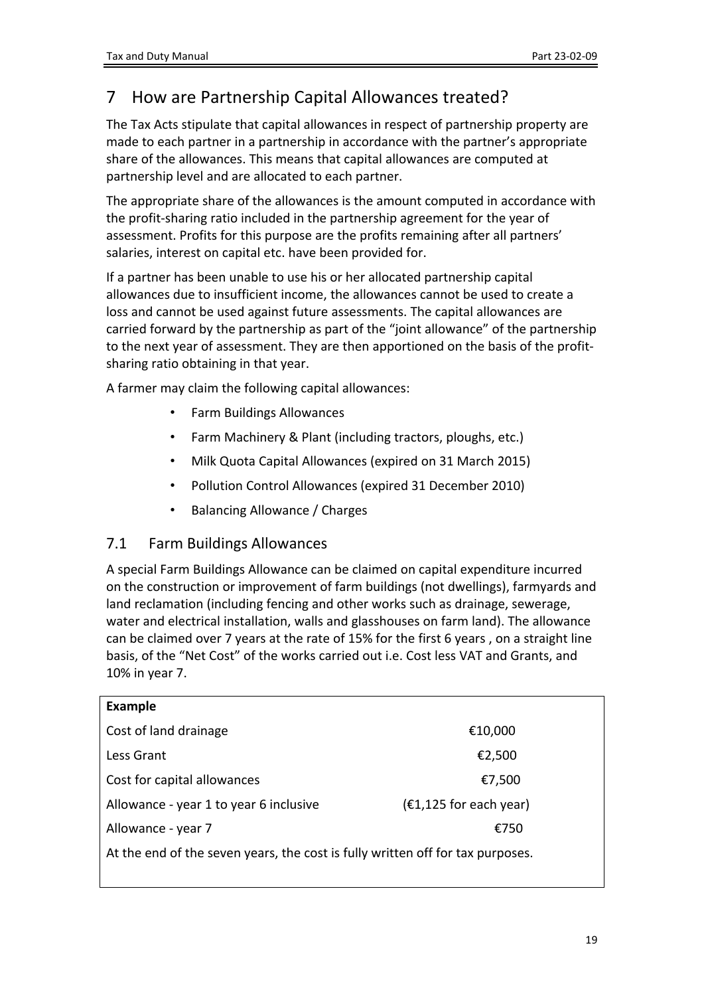# <span id="page-18-0"></span>7 How are Partnership Capital Allowances treated?

The Tax Acts stipulate that capital allowances in respect of partnership property are made to each partner in a partnership in accordance with the partner's appropriate share of the allowances. This means that capital allowances are computed at partnership level and are allocated to each partner.

The appropriate share of the allowances is the amount computed in accordance with the profit-sharing ratio included in the partnership agreement for the year of assessment. Profits for this purpose are the profits remaining after all partners' salaries, interest on capital etc. have been provided for.

If a partner has been unable to use his or her allocated partnership capital allowances due to insufficient income, the allowances cannot be used to create a loss and cannot be used against future assessments. The capital allowances are carried forward by the partnership as part of the "joint allowance" of the partnership to the next year of assessment. They are then apportioned on the basis of the profitsharing ratio obtaining in that year.

A farmer may claim the following capital allowances:

- Farm Buildings Allowances
- Farm Machinery & Plant (including tractors, ploughs, etc.)
- Milk Quota Capital Allowances (expired on 31 March 2015)
- Pollution Control Allowances (expired 31 December 2010)
- Balancing Allowance / Charges

## <span id="page-18-1"></span>7.1 Farm Buildings Allowances

A special Farm Buildings Allowance can be claimed on capital expenditure incurred on the construction or improvement of farm buildings (not dwellings), farmyards and land reclamation (including fencing and other works such as drainage, sewerage, water and electrical installation, walls and glasshouses on farm land). The allowance can be claimed over 7 years at the rate of 15% for the first 6 years , on a straight line basis, of the "Net Cost" of the works carried out i.e. Cost less VAT and Grants, and 10% in year 7.

| <b>Example</b>                                                                 |                          |  |
|--------------------------------------------------------------------------------|--------------------------|--|
| Cost of land drainage                                                          | €10,000                  |  |
| Less Grant                                                                     | €2,500                   |  |
| Cost for capital allowances                                                    | €7,500                   |  |
| Allowance - year 1 to year 6 inclusive                                         | $(£1,125$ for each year) |  |
| Allowance - year 7                                                             | €750                     |  |
| At the end of the seven years, the cost is fully written off for tax purposes. |                          |  |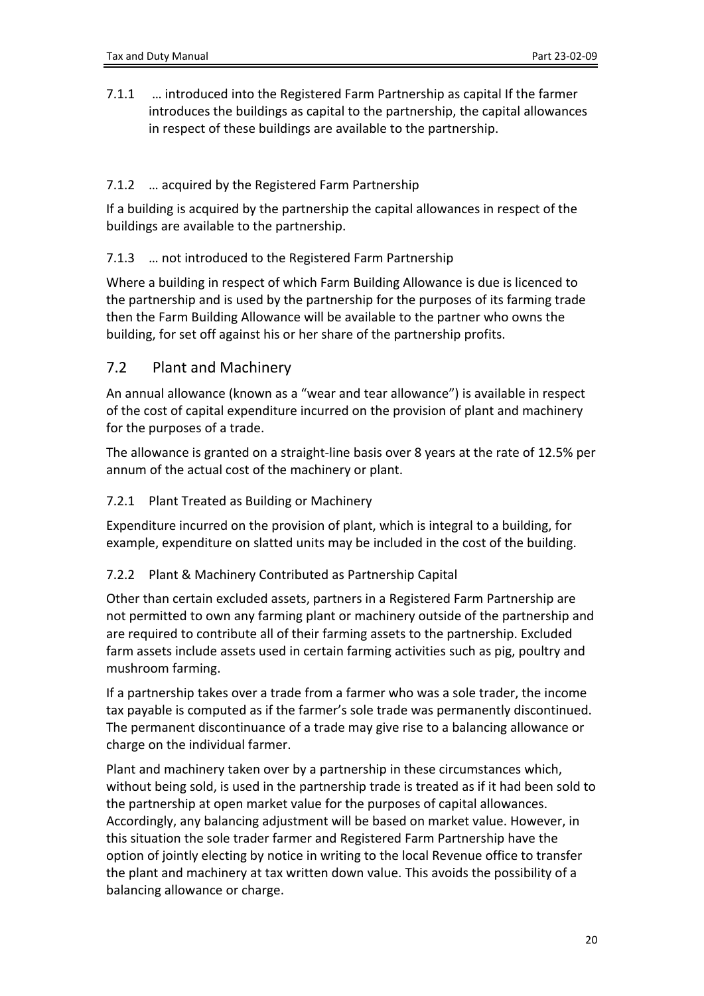<span id="page-19-0"></span>7.1.1 … introduced into the Registered Farm Partnership as capital If the farmer introduces the buildings as capital to the partnership, the capital allowances in respect of these buildings are available to the partnership.

#### <span id="page-19-1"></span>7.1.2 … acquired by the Registered Farm Partnership

If a building is acquired by the partnership the capital allowances in respect of the buildings are available to the partnership.

#### <span id="page-19-2"></span>7.1.3 … not introduced to the Registered Farm Partnership

Where a building in respect of which Farm Building Allowance is due is licenced to the partnership and is used by the partnership for the purposes of its farming trade then the Farm Building Allowance will be available to the partner who owns the building, for set off against his or her share of the partnership profits.

## <span id="page-19-3"></span>7.2 Plant and Machinery

An annual allowance (known as a "wear and tear allowance") is available in respect of the cost of capital expenditure incurred on the provision of plant and machinery for the purposes of a trade.

The allowance is granted on a straight-line basis over 8 years at the rate of 12.5% per annum of the actual cost of the machinery or plant.

#### <span id="page-19-4"></span>7.2.1 Plant Treated as Building or Machinery

Expenditure incurred on the provision of plant, which is integral to a building, for example, expenditure on slatted units may be included in the cost of the building.

#### <span id="page-19-5"></span>7.2.2 Plant & Machinery Contributed as Partnership Capital

Other than certain excluded assets, partners in a Registered Farm Partnership are not permitted to own any farming plant or machinery outside of the partnership and are required to contribute all of their farming assets to the partnership. Excluded farm assets include assets used in certain farming activities such as pig, poultry and mushroom farming.

If a partnership takes over a trade from a farmer who was a sole trader, the income tax payable is computed as if the farmer's sole trade was permanently discontinued. The permanent discontinuance of a trade may give rise to a balancing allowance or charge on the individual farmer.

Plant and machinery taken over by a partnership in these circumstances which, without being sold, is used in the partnership trade is treated as if it had been sold to the partnership at open market value for the purposes of capital allowances. Accordingly, any balancing adjustment will be based on market value. However, in this situation the sole trader farmer and Registered Farm Partnership have the option of jointly electing by notice in writing to the local Revenue office to transfer the plant and machinery at tax written down value. This avoids the possibility of a balancing allowance or charge.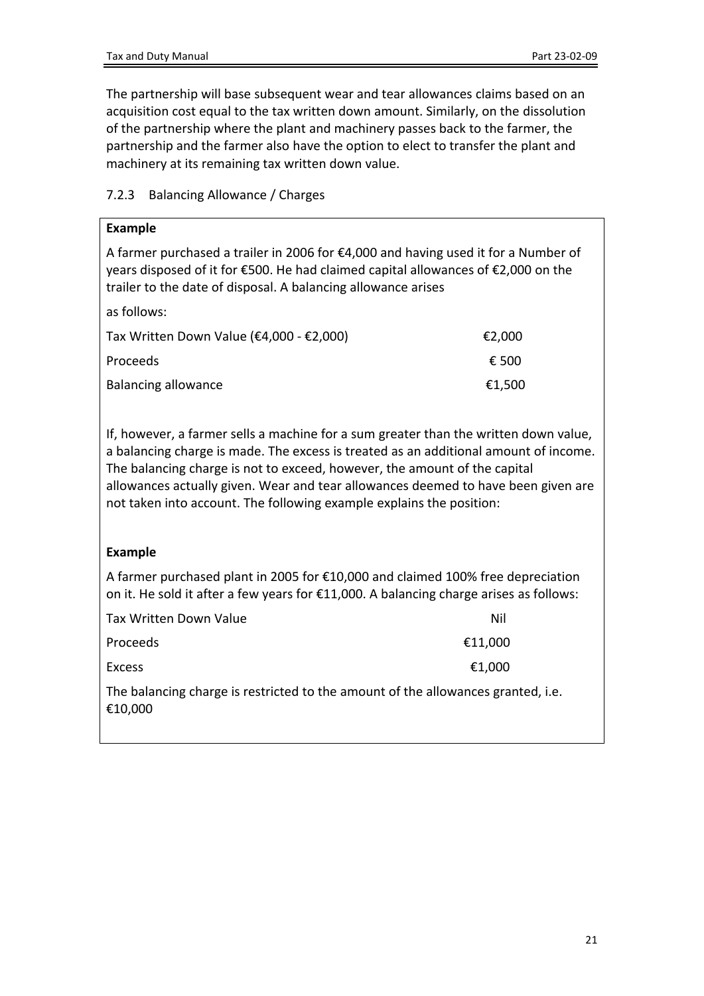The partnership will base subsequent wear and tear allowances claims based on an acquisition cost equal to the tax written down amount. Similarly, on the dissolution of the partnership where the plant and machinery passes back to the farmer, the partnership and the farmer also have the option to elect to transfer the plant and machinery at its remaining tax written down value.

#### <span id="page-20-0"></span>7.2.3 Balancing Allowance / Charges

| <b>Example</b>                                                                                                                                                                                                                             |        |  |
|--------------------------------------------------------------------------------------------------------------------------------------------------------------------------------------------------------------------------------------------|--------|--|
| A farmer purchased a trailer in 2006 for €4,000 and having used it for a Number of<br>years disposed of it for €500. He had claimed capital allowances of $€2,000$ on the<br>trailer to the date of disposal. A balancing allowance arises |        |  |
| as follows:                                                                                                                                                                                                                                |        |  |
| Tax Written Down Value (€4,000 - €2,000)                                                                                                                                                                                                   | €2,000 |  |
| Proceeds                                                                                                                                                                                                                                   | € 500  |  |
| <b>Balancing allowance</b>                                                                                                                                                                                                                 | €1,500 |  |

If, however, a farmer sells a machine for a sum greater than the written down value, a balancing charge is made. The excess is treated as an additional amount of income. The balancing charge is not to exceed, however, the amount of the capital allowances actually given. Wear and tear allowances deemed to have been given are not taken into account. The following example explains the position:

#### **Example**

A farmer purchased plant in 2005 for €10,000 and claimed 100% free depreciation on it. He sold it after a few years for €11,000. A balancing charge arises as follows:

| Tax Written Down Value                                                                      | Nil     |
|---------------------------------------------------------------------------------------------|---------|
| Proceeds                                                                                    | €11,000 |
| Excess                                                                                      | €1,000  |
| The balancing charge is restricted to the amount of the allowances granted, i.e.<br>€10,000 |         |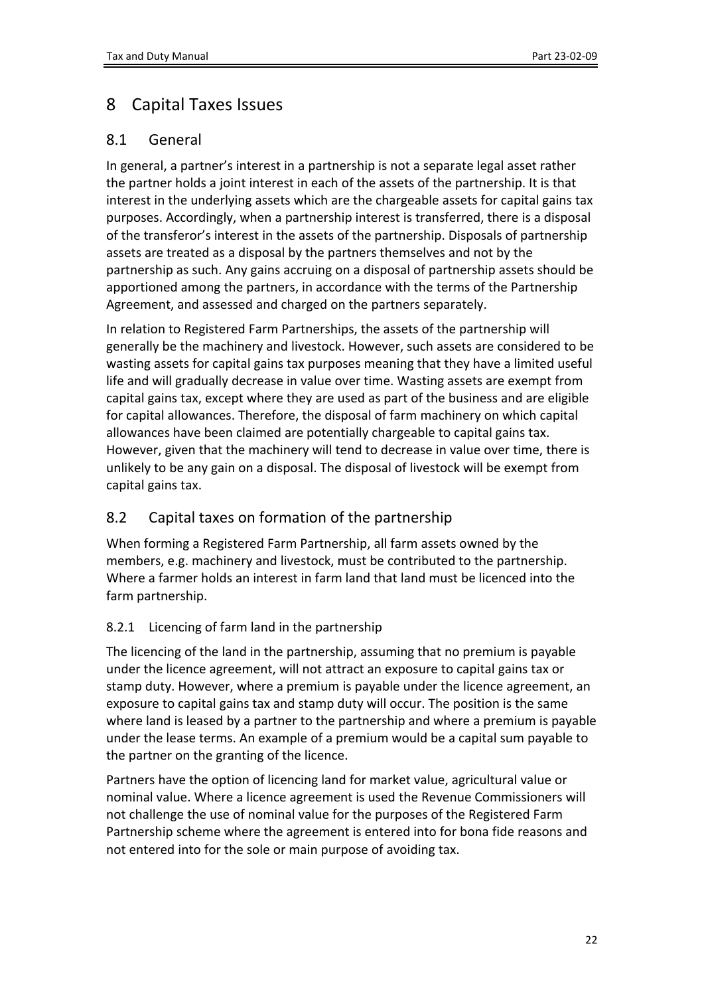# <span id="page-21-0"></span>8 Capital Taxes Issues

## <span id="page-21-1"></span>8.1 General

In general, a partner's interest in a partnership is not a separate legal asset rather the partner holds a joint interest in each of the assets of the partnership. It is that interest in the underlying assets which are the chargeable assets for capital gains tax purposes. Accordingly, when a partnership interest is transferred, there is a disposal of the transferor's interest in the assets of the partnership. Disposals of partnership assets are treated as a disposal by the partners themselves and not by the partnership as such. Any gains accruing on a disposal of partnership assets should be apportioned among the partners, in accordance with the terms of the Partnership Agreement, and assessed and charged on the partners separately.

In relation to Registered Farm Partnerships, the assets of the partnership will generally be the machinery and livestock. However, such assets are considered to be wasting assets for capital gains tax purposes meaning that they have a limited useful life and will gradually decrease in value over time. Wasting assets are exempt from capital gains tax, except where they are used as part of the business and are eligible for capital allowances. Therefore, the disposal of farm machinery on which capital allowances have been claimed are potentially chargeable to capital gains tax. However, given that the machinery will tend to decrease in value over time, there is unlikely to be any gain on a disposal. The disposal of livestock will be exempt from capital gains tax.

## <span id="page-21-2"></span>8.2 Capital taxes on formation of the partnership

When forming a Registered Farm Partnership, all farm assets owned by the members, e.g. machinery and livestock, must be contributed to the partnership. Where a farmer holds an interest in farm land that land must be licenced into the farm partnership.

## <span id="page-21-3"></span>8.2.1 Licencing of farm land in the partnership

The licencing of the land in the partnership, assuming that no premium is payable under the licence agreement, will not attract an exposure to capital gains tax or stamp duty. However, where a premium is payable under the licence agreement, an exposure to capital gains tax and stamp duty will occur. The position is the same where land is leased by a partner to the partnership and where a premium is payable under the lease terms. An example of a premium would be a capital sum payable to the partner on the granting of the licence.

Partners have the option of licencing land for market value, agricultural value or nominal value. Where a licence agreement is used the Revenue Commissioners will not challenge the use of nominal value for the purposes of the Registered Farm Partnership scheme where the agreement is entered into for bona fide reasons and not entered into for the sole or main purpose of avoiding tax.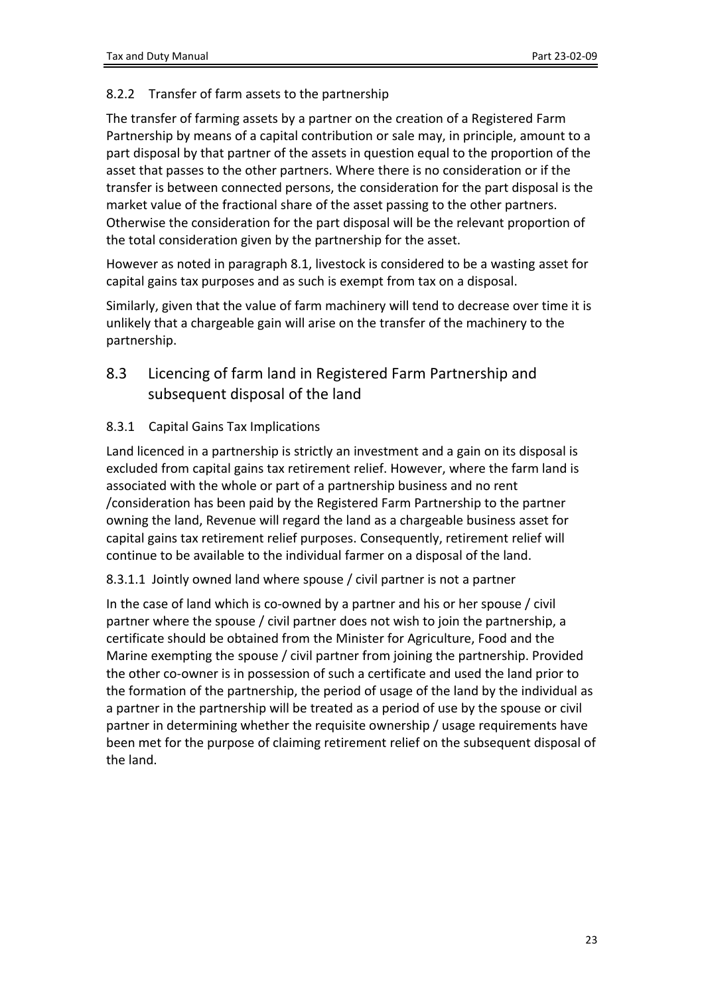#### <span id="page-22-0"></span>8.2.2 Transfer of farm assets to the partnership

The transfer of farming assets by a partner on the creation of a Registered Farm Partnership by means of a capital contribution or sale may, in principle, amount to a part disposal by that partner of the assets in question equal to the proportion of the asset that passes to the other partners. Where there is no consideration or if the transfer is between connected persons, the consideration for the part disposal is the market value of the fractional share of the asset passing to the other partners. Otherwise the consideration for the part disposal will be the relevant proportion of the total consideration given by the partnership for the asset.

However as noted in paragraph 8.1, livestock is considered to be a wasting asset for capital gains tax purposes and as such is exempt from tax on a disposal.

Similarly, given that the value of farm machinery will tend to decrease over time it is unlikely that a chargeable gain will arise on the transfer of the machinery to the partnership.

<span id="page-22-1"></span>8.3 Licencing of farm land in Registered Farm Partnership and subsequent disposal of the land

#### <span id="page-22-2"></span>8.3.1 Capital Gains Tax Implications

Land licenced in a partnership is strictly an investment and a gain on its disposal is excluded from capital gains tax retirement relief. However, where the farm land is associated with the whole or part of a partnership business and no rent /consideration has been paid by the Registered Farm Partnership to the partner owning the land, Revenue will regard the land as a chargeable business asset for capital gains tax retirement relief purposes. Consequently, retirement relief will continue to be available to the individual farmer on a disposal of the land.

#### 8.3.1.1 Jointly owned land where spouse / civil partner is not a partner

In the case of land which is co-owned by a partner and his or her spouse / civil partner where the spouse / civil partner does not wish to join the partnership, a certificate should be obtained from the Minister for Agriculture, Food and the Marine exempting the spouse / civil partner from joining the partnership. Provided the other co-owner is in possession of such a certificate and used the land prior to the formation of the partnership, the period of usage of the land by the individual as a partner in the partnership will be treated as a period of use by the spouse or civil partner in determining whether the requisite ownership / usage requirements have been met for the purpose of claiming retirement relief on the subsequent disposal of the land.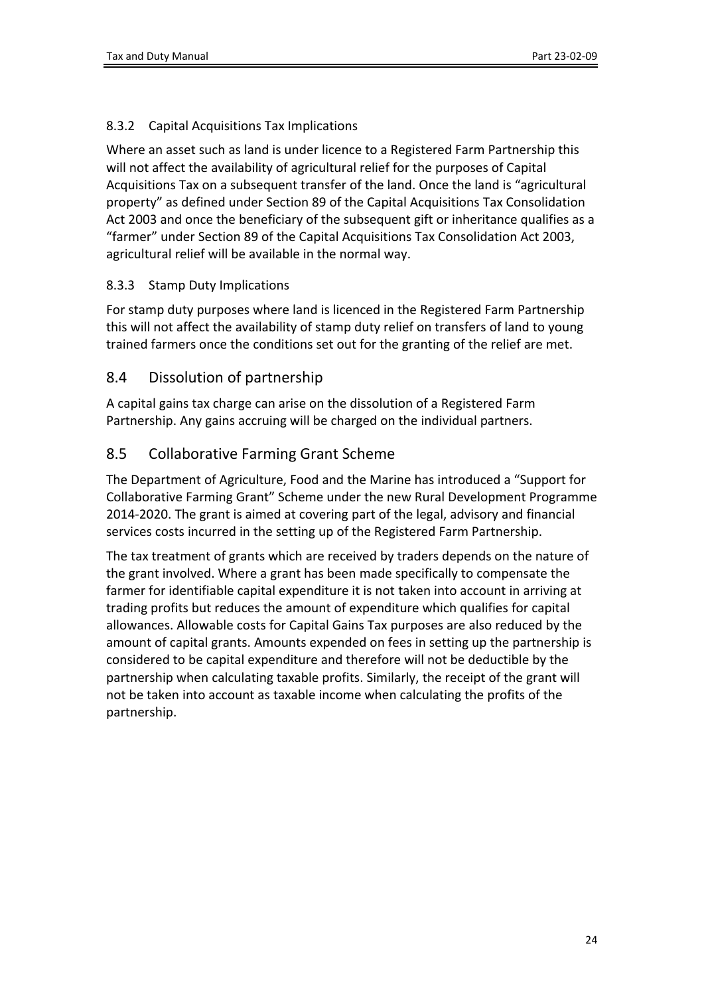### <span id="page-23-0"></span>8.3.2 Capital Acquisitions Tax Implications

Where an asset such as land is under licence to a Registered Farm Partnership this will not affect the availability of agricultural relief for the purposes of Capital Acquisitions Tax on a subsequent transfer of the land. Once the land is "agricultural property" as defined under Section 89 of the Capital Acquisitions Tax Consolidation Act 2003 and once the beneficiary of the subsequent gift or inheritance qualifies as a "farmer" under Section 89 of the Capital Acquisitions Tax Consolidation Act 2003, agricultural relief will be available in the normal way.

#### <span id="page-23-1"></span>8.3.3 Stamp Duty Implications

For stamp duty purposes where land is licenced in the Registered Farm Partnership this will not affect the availability of stamp duty relief on transfers of land to young trained farmers once the conditions set out for the granting of the relief are met.

## <span id="page-23-2"></span>8.4 Dissolution of partnership

A capital gains tax charge can arise on the dissolution of a Registered Farm Partnership. Any gains accruing will be charged on the individual partners.

## <span id="page-23-3"></span>8.5 Collaborative Farming Grant Scheme

The Department of Agriculture, Food and the Marine has introduced a "Support for Collaborative Farming Grant" Scheme under the new Rural Development Programme 2014-2020. The grant is aimed at covering part of the legal, advisory and financial services costs incurred in the setting up of the Registered Farm Partnership.

<span id="page-23-4"></span>The tax treatment of grants which are received by traders depends on the nature of the grant involved. Where a grant has been made specifically to compensate the farmer for identifiable capital expenditure it is not taken into account in arriving at trading profits but reduces the amount of expenditure which qualifies for capital allowances. Allowable costs for Capital Gains Tax purposes are also reduced by the amount of capital grants. Amounts expended on fees in setting up the partnership is considered to be capital expenditure and therefore will not be deductible by the partnership when calculating taxable profits. Similarly, the receipt of the grant will not be taken into account as taxable income when calculating the profits of the partnership.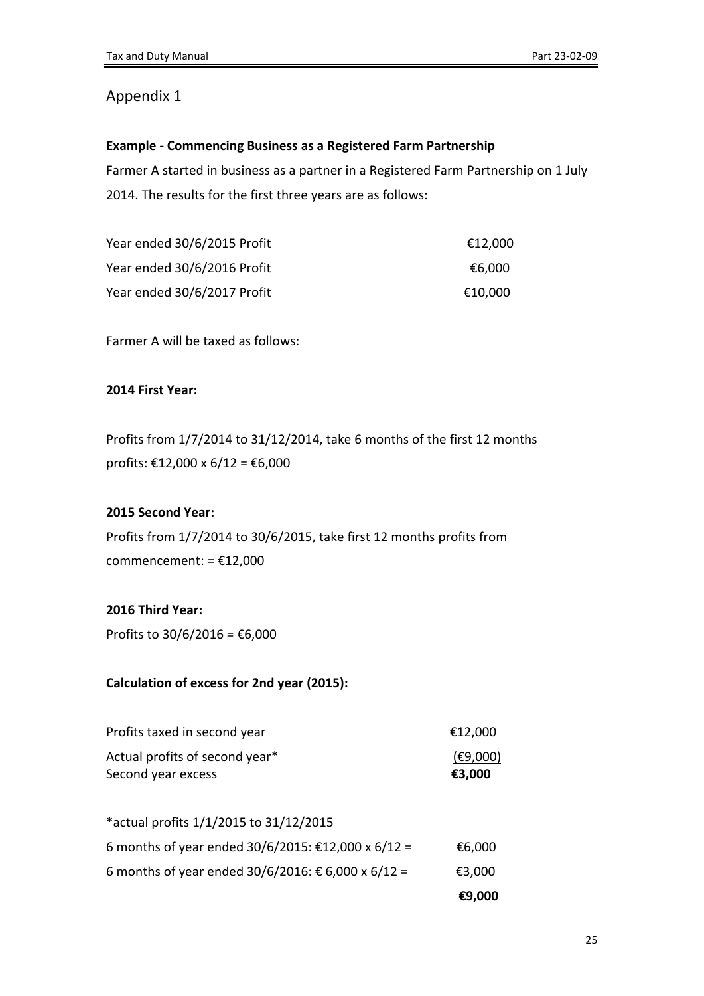## <span id="page-24-0"></span>Appendix 1

#### **Example - Commencing Business as a Registered Farm Partnership**

Farmer A started in business as a partner in a Registered Farm Partnership on 1 July 2014. The results for the first three years are as follows:

| Year ended 30/6/2015 Profit | €12.000 |
|-----------------------------|---------|
| Year ended 30/6/2016 Profit | €6.000  |
| Year ended 30/6/2017 Profit | €10,000 |

Farmer A will be taxed as follows:

#### **2014 First Year:**

Profits from 1/7/2014 to 31/12/2014, take 6 months of the first 12 months profits: €12,000 x 6/12 = €6,000

#### **2015 Second Year:**

Profits from 1/7/2014 to 30/6/2015, take first 12 months profits from commencement: = €12,000

#### **2016 Third Year:**

Profits to 30/6/2016 = €6,000

#### **Calculation of excess for 2nd year (2015):**

| Profits taxed in second year   | €12,000  |
|--------------------------------|----------|
| Actual profits of second year* | (E9,000) |
| Second year excess             | €3.000   |

|                                                    | €9,000 |
|----------------------------------------------------|--------|
| 6 months of year ended 30/6/2016: € 6,000 x 6/12 = | €3,000 |
| 6 months of year ended 30/6/2015: €12,000 x 6/12 = | €6,000 |
| *actual profits 1/1/2015 to 31/12/2015             |        |